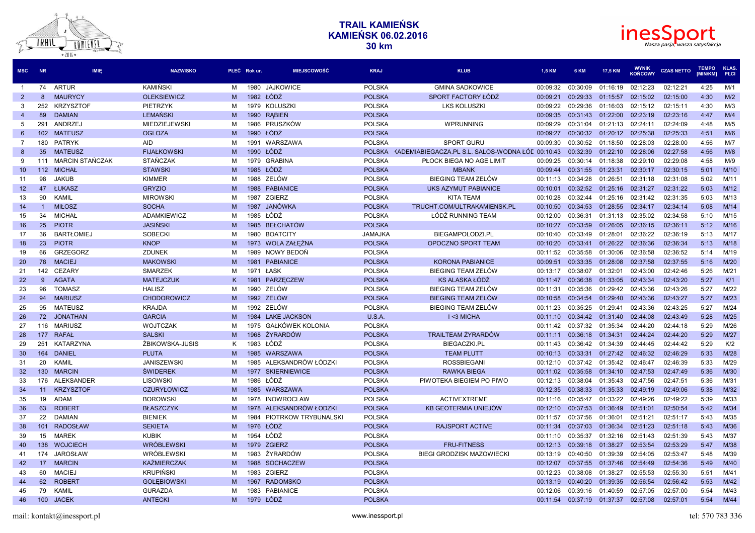

| <b>MSC</b>      | <b>NR</b>       | <b>IMIE</b>            | <b>NAZWISKO</b>      | PŁEĆ Rokur. |           | <b>MIEJSCOWOŚĆ</b>      | <b>KRAJ</b>    | <b>KLUB</b>                                      | <b>1.5 KM</b> | 6 KM              | 17,5 KM  | <b>WYNIK</b><br><b>KOŃCOWY</b> | <b>CZAS NETTO</b> | <b>TEMPO</b><br>[MIN/KM] | <b>KLAS</b><br>PŁCI |
|-----------------|-----------------|------------------------|----------------------|-------------|-----------|-------------------------|----------------|--------------------------------------------------|---------------|-------------------|----------|--------------------------------|-------------------|--------------------------|---------------------|
| $\overline{1}$  | 74              | <b>ARTUR</b>           | KAMIŃSKI             | м           | 1980      | <b>JAJKOWICE</b>        | <b>POLSKA</b>  | <b>GMINA SADKOWICE</b>                           | 00:09:32      | 00:30:09          | 01:16:19 | 02:12:23                       | 02:12:21          | 4:25                     | M/1                 |
| $\overline{2}$  | 8               | <b>MAURYCY</b>         | <b>OLEKSIEWICZ</b>   | M           | 1982 ŁÓDŹ |                         | <b>POLSKA</b>  | SPORT FACTORY ŁÓDŹ                               | 00:09:21      | 00:29:33          | 01:15:57 | 02:15:02                       | 02:15:00          | 4:30                     | M/2                 |
| 3               | 252             | <b>KRZYSZTOF</b>       | PIETRZYK             | м           |           | 1979 KOLUSZKI           | <b>POLSKA</b>  | <b>LKS KOLUSZKI</b>                              | 00:09:22      | 00:29:36          | 01:16:03 | 02:15:12                       | 02:15:11          | 4:30                     | M/3                 |
| $\overline{4}$  | 89              | <b>DAMIAN</b>          | <b>LEMANSKI</b>      | M           |           | 1990 RABIEN             | <b>POLSKA</b>  |                                                  | 00:09:35      | 00:31:43          | 01:22:00 | 02:23:19                       | 02:23:16          | 4:47                     | M/4                 |
| 5               | 291             | ANDRZEJ                | <b>MIEDZIEJEWSKI</b> | M           |           | 1986 PRUSZKÓW           | <b>POLSKA</b>  | WPRUNNING                                        | 00:09:29      | 00:31:04          | 01:21:13 | 02:24:11                       | 02:24:09          | 4:48                     | M/5                 |
| 6               |                 | 102 MATEUSZ            | <b>OGLOZA</b>        | M           | 1990 ŁÓDŹ |                         | <b>POLSKA</b>  |                                                  | 00:09:27      | 00:30:32          | 01:20:12 | 02:25:38                       | 02:25:33          | 4:51                     | M/6                 |
| $\overline{7}$  | 180             | <b>PATRYK</b>          | <b>AID</b>           | M           | 1991      | WARSZAWA                | <b>POLSKA</b>  | <b>SPORT GURU</b>                                | 00:09:30      | 00:30:52          | 01:18:50 | 02:28:03                       | 02:28:00          | 4:56                     | M/7                 |
| 8               | 35 <sup>5</sup> | <b>MATEUSZ</b>         | <b>FIJAŁKOWSKI</b>   | M           | 1990      | ŁÓDŹ                    | <b>POLSKA</b>  | KADEMIABIEGACZA.PL S.L. SALOS-WODNA ŁÓE 00:10:43 |               | 00:32:39          | 01:22:10 | 02:28:06                       | 02:27:58          | 4:56                     | M/8                 |
| 9               | 111             | <b>MARCIN STAŃCZAK</b> | <b>STANCZAK</b>      | м           | 1979      | <b>GRABINA</b>          | <b>POLSKA</b>  | PŁOCK BIEGA NO AGE LIMIT                         | 00:09:25      | 00:30:14          | 01:18:38 | 02:29:10                       | 02:29:08          | 4:58                     | M/9                 |
| 10 <sup>°</sup> | 112             | <b>MICHAŁ</b>          | <b>STAWSKI</b>       | M           | 1985      | ŁÓDŹ                    | <b>POLSKA</b>  | <b>MBANK</b>                                     | 00:09:44      | 00:31:55          | 01:23:31 | 02:30:17                       | 02:30:15          | 5:01                     | M/10                |
| 11              | 98              | <b>JAKUB</b>           | <b>KIMMER</b>        | м           |           | 1988 ZELÓW              | <b>POLSKA</b>  | <b>BIEGING TEAM ZELÓW</b>                        | 00:11:13      | 00:34:28          | 01:26:51 | 02:31:18                       | 02:31:08          | 5:02                     | M/11                |
| 12 <sup>2</sup> | 47              | <b>ŁUKASZ</b>          | <b>GRYZIO</b>        | M           |           | 1988 PABIANICE          | <b>POLSKA</b>  | <b>UKS AZYMUT PABIANICE</b>                      | 00:10:01      | 00:32:52          | 01:25:16 | 02:31:27                       | 02:31:22          | 5:03                     | M/12                |
| 13              | 90              | KAMIL                  | <b>MIROWSKI</b>      | M           |           | 1987 ZGIERZ             | <b>POLSKA</b>  | <b>KITA TEAM</b>                                 | 00:10:28      | 00:32:44          | 01:25:16 | 02:31:42                       | 02:31:35          | 5:03                     | M/13                |
| 14              | $\overline{1}$  | <b>MIŁOSZ</b>          | <b>SOCHA</b>         | M           | 1987      | JANÓWKA                 | <b>POLSKA</b>  | TRUCHT.COM/ULTRAKAMIENSK.PL                      | 00:10:50      | 00:34:53          | 01:28:55 | 02:34:17                       | 02:34:14          | 5:08                     | M/14                |
| 15              | 34              | <b>MICHAŁ</b>          | <b>ADAMKIEWICZ</b>   | M           | 1985 ŁÓDŹ |                         | <b>POLSKA</b>  | ŁÓDŹ RUNNING TEAM                                | 00:12:00      | 00:36:31          | 01:31:13 | 02:35:02                       | 02:34:58          | 5:10                     | M/15                |
| 16              | 25              | <b>PIOTR</b>           | <b>JASIŃSKI</b>      | M           |           | 1985 BEŁCHATÓW          | <b>POLSKA</b>  |                                                  | 00:10:27      | 00:33:59          | 01:26:05 | 02:36:15                       | 02:36:11          | 5:12                     | M/16                |
| 17              | 36              | <b>BARTŁOMIEJ</b>      | <b>SOBECKI</b>       | м           | 1980      | <b>BOATCITY</b>         | <b>JAMAJKA</b> | BIEGAMPOLODZI.PL                                 | 00:10:40      | 00:33:49          | 01:28:01 | 02:36:22                       | 02:36:19          | 5:13                     | M/17                |
| 18              | 23              | <b>PIOTR</b>           | <b>KNOP</b>          | M           |           | 1973 WOLA ZAŁEŻNA       | <b>POLSKA</b>  | OPOCZNO SPORT TEAM                               | 00:10:20      | 00:33:41          | 01:26:22 | 02:36:36                       | 02:36:34          | 5:13                     | M/18                |
| 19              | 66              | <b>GRZEGORZ</b>        | <b>ZDUNEK</b>        | м           | 1989      | NOWY BEDOŃ              | <b>POLSKA</b>  |                                                  | 00:11:52      | 00:35:58          | 01:30:06 | 02:36:58                       | 02:36:52          | 5:14                     | M/19                |
| 20              | 78              | <b>MACIEJ</b>          | <b>MAKOWSKI</b>      | M           |           | 1981 PABIANICE          | <b>POLSKA</b>  | <b>KORONA PABIANICE</b>                          | 00:09:51      | 00:33:35          | 01:28:08 | 02:37:58                       | 02:37:55          | 5:16                     | M/20                |
| 21              | 142             | <b>CEZARY</b>          | <b>SMARZEK</b>       | M           | 1971 ŁASK |                         | <b>POLSKA</b>  | <b>BIEGING TEAM ZELÓW</b>                        | 00:13:17      | 00:38:07          | 01:32:01 | 02:43:00                       | 02:42:46          | 5:26                     | M/21                |
| 22              | 9               | <b>AGATA</b>           | <b>MATEJCZUK</b>     | K           | 1981      | PARZECZEW               | <b>POLSKA</b>  | KS ALASKA ŁÓDŹ                                   | 00:11:47      | 00:36:38          | 01:33:05 | 02:43:34                       | 02:43:20          | 5:27                     | K/1                 |
| 23              | 96              | <b>TOMASZ</b>          | <b>HALISZ</b>        | M           | 1990      | ZELÓW                   | <b>POLSKA</b>  | BIEGING TEAM ZELÓW                               | 00:11:31      | 00:35:36          | 01:29:42 | 02:43:36                       | 02:43:26          | 5:27                     | M/22                |
| 24              | 94              | <b>MARIUSZ</b>         | <b>CHODOROWICZ</b>   | M           |           | 1992 ZELÓW              | <b>POLSKA</b>  | BIEGING TEAM ZELÓW                               | 00:10:58      | 00:34:54          | 01:29:40 | 02:43:36                       | 02:43:27          | 5:27                     | M/23                |
| 25              | 95              | <b>MATEUSZ</b>         | <b>KRAJDA</b>        | м           |           | 1992 ZELÓW              | <b>POLSKA</b>  | BIEGING TEAM ZELÓW                               | 00:11:23      | 00:35:25          | 01:29:41 | 02:43:36                       | 02:43:25          | 5:27                     | M/24                |
| 26              |                 | 72 JONATHAN            | <b>GARCIA</b>        | M           | 1984      | <b>LAKE JACKSON</b>     | U.S.A.         | I <3 MICHA                                       | 00:11:10      | 00:34:42          | 01:31:40 | 02:44:08                       | 02:43:49          | 5:28                     | M/25                |
| 27              |                 | 116 MARIUSZ            | <b>WOJTCZAK</b>      | м           | 1975      | GAŁKÓWEK KOLONIA        | <b>POLSKA</b>  |                                                  | 00:11:42      | 00:37:32          | 01:35:34 | 02:44:20                       | 02:44:18          | 5:29                     | M/26                |
| 28              | 177             | <b>RAFAL</b>           | <b>SALSKI</b>        | M           |           | 1968 ŻYRARDÓW           | <b>POLSKA</b>  | <b>TRAILTEAM ŻYRARDÓW</b>                        | 00:11:11      | 00:36:18          | 01:34:31 | 02:44:24                       | 02:44:20          | 5:29                     | M/27                |
| 29              | 251             | KATARZYNA              | ŻBIKOWSKA-JUSIS      | K           | 1983 ŁÓDŹ |                         | <b>POLSKA</b>  | <b>BIEGACZKI.PL</b>                              | 00:11:43      | 00:36:42          | 01:34:39 | 02:44:45                       | 02:44:42          | 5:29                     | K/2                 |
| 30              | 164             | <b>DANIEL</b>          | <b>PLUTA</b>         | M           | 1985      | <b>WARSZAWA</b>         | <b>POLSKA</b>  | <b>TEAM PLUTT</b>                                | 00:10:13      | 00:33:31          | 01:27:42 | 02:46:32                       | 02:46:29          | 5:33                     | M/28                |
| 31              | 20              | KAMIL                  | <b>JANISZEWSKI</b>   | м           |           | 1985 ALEKSANDRÓW ŁÓDZKI | <b>POLSKA</b>  | <b>ROSSBIEGANI</b>                               | 00:12:10      | 00:37:42          | 01:35:42 | 02:46:47                       | 02:46:39          | 5:33                     | M/29                |
| 32              | 130             | <b>MARCIN</b>          | <b>ŚWIDEREK</b>      | M           | 1977      | <b>SKIERNIEWICE</b>     | <b>POLSKA</b>  | <b>RAWKA BIEGA</b>                               | 00:11:02      | 00:35:58          | 01:34:10 | 02:47:53                       | 02:47:49          | 5:36                     | M/30                |
| 33              |                 | 176 ALEKSANDER         | LISOWSKI             | M           | 1986 ŁÓDŹ |                         | <b>POLSKA</b>  | PIWOTEKA BIEGIEM PO PIWO                         | 00:12:13      | 00:38:04          | 01:35:43 | 02:47:56                       | 02:47:51          | 5:36                     | M/31                |
| 34              | 11              | <b>KRZYSZTOF</b>       | <b>CZURYŁOWICZ</b>   | M           | 1985      | WARSZAWA                | <b>POLSKA</b>  |                                                  | 00:12:35      | 00:38:33          | 01:35:33 | 02:49:19                       | 02:49:06          | 5:38                     | M/32                |
| 35              | 19              | ADAM                   | <b>BOROWSKI</b>      | м           |           | 1978 INOWROCLAW         | <b>POLSKA</b>  | <b>ACTIVEXTREME</b>                              | 00:11:16      | 00:35:47          | 01:33:22 | 02:49:26                       | 02:49:22          | 5:39                     | M/33                |
| 36              | 63              | <b>ROBERT</b>          | <b>BŁASZCZYK</b>     | M           | 1978      | ALEKSANDRÓW ŁODZKI      | <b>POLSKA</b>  | KB GEOTERMIA UNIEJÓW                             | 00:12:10      | 00:37:53          | 01:36:49 | 02:51:01                       | 02:50:54          | 5:42                     | M/34                |
| 37              | 22              | <b>DAMIAN</b>          | <b>BIENIEK</b>       | м           | 1984      | PIOTRKOW TRYBUNALSKI    | <b>POLSKA</b>  |                                                  | 00:11:57      | 00:37:56          | 01:36:01 | 02:51:21                       | 02:51:17          | 5:43                     | M/35                |
| 38              | 101             | <b>RADOSŁAW</b>        | <b>SEKIETA</b>       | M           | 1976 ŁÓDŹ |                         | <b>POLSKA</b>  | <b>RAJSPORT ACTIVE</b>                           | 00:11:34      | 00:37:03          | 01:36:34 | 02:51:23                       | 02:51:18          | 5:43                     | M/36                |
| 39              | 15              | <b>MAREK</b>           | <b>KUBIK</b>         | м           | 1954 ŁÓDŹ |                         | <b>POLSKA</b>  |                                                  | 00:11:10      | 00:35:37          | 01:32:16 | 02:51:43                       | 02:51:39          | 5:43                     | M/37                |
| 40              | 138             | <b>WOJCIECH</b>        | <b>WRÓBLEWSKI</b>    | M           | 1979      | <b>ZGIERZ</b>           | <b>POLSKA</b>  | <b>FRU-FITNESS</b>                               | 00:12:13      | 00:39:18          | 01:38:27 | 02:53:54                       | 02:53:29          | 5:47                     | M/38                |
| 41              | 174             | <b>JAROSŁAW</b>        | <b>WRÓBLEWSKI</b>    | м           | 1983      | ŻYRARDÓW                | <b>POLSKA</b>  | <b>BIEGI GRODZISK MAZOWIECKI</b>                 | 00:13:19      | 00:40:50          | 01:39:39 | 02:54:05                       | 02:53:47          | 5:48                     | M/39                |
| 42              | 17 <sup>2</sup> | <b>MARCIN</b>          | <b>KAŹMIERCZAK</b>   | M           |           | 1988 SOCHACZEW          | <b>POLSKA</b>  |                                                  | 00:12:07      | 00:37:55          | 01:37:46 | 02:54:49                       | 02:54:36          | 5:49                     | M/40                |
| 43              | 60              | <b>MACIEJ</b>          | <b>KRUPIŃSKI</b>     | м           | 1983      | <b>ZGIERZ</b>           | <b>POLSKA</b>  |                                                  | 00:12:23      | 00:38:08          | 01:38:27 | 02:55:53                       | 02:55:30          | 5:51                     | M/41                |
| 44              | 62              | <b>ROBERT</b>          | <b>GOŁEBIOWSKI</b>   | M           |           | 1967 RADOMSKO           | <b>POLSKA</b>  |                                                  | 00:13:19      | 00:40:20          | 01:39:35 | 02:56:54                       | 02:56:42          | 5:53                     | M/42                |
| 45              | 79              | KAMIL                  | <b>GURAZDA</b>       | M           | 1983      | <b>PABIANICE</b>        | <b>POLSKA</b>  |                                                  | 00:12:06      | 00:39:16          | 01:40:59 | 02:57:05                       | 02:57:00          | 5:54                     | M/43                |
| 46              |                 | 100 JACEK              | <b>ANTECKI</b>       | M           | 1979 ŁÓDŹ |                         | <b>POLSKA</b>  |                                                  | 00:11:54      | 00:37:19 01:37:37 |          | 02:57:08                       | 02:57:01          | 5:54                     | M/44                |

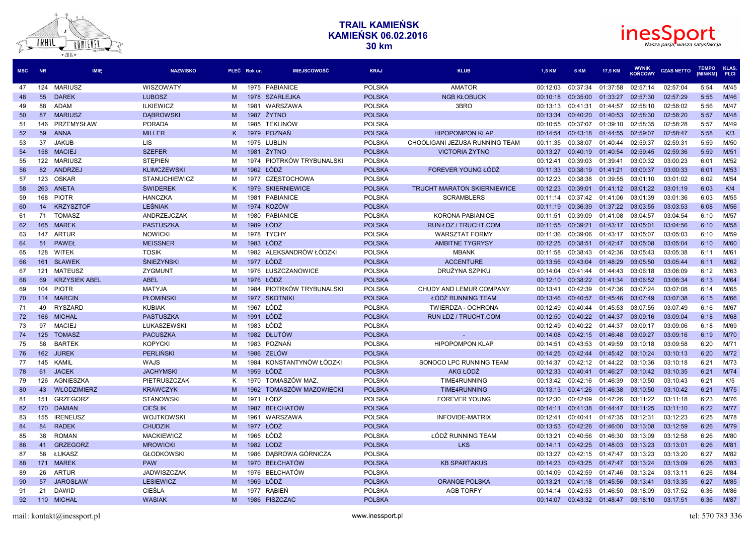



| <b>MSC</b> | <b>NR</b> | <b>IMIE</b>          | <b>NAZWISKO</b>      |   | <b>MIEJSCOWOŚĆ</b><br>PŁEĆ Rok ur. | <b>KRAJ</b>   | <b>KLUB</b>                        | 1,5 KM   | 6 KM     | 17,5 KM  | <b>WYNIK</b><br><b>KOŃCOWY</b> | <b>CZAS NETTO</b> | <b>TEMPO</b><br><b>IMIN/KM1</b> | <b>KLAS</b><br>PŁCI |
|------------|-----------|----------------------|----------------------|---|------------------------------------|---------------|------------------------------------|----------|----------|----------|--------------------------------|-------------------|---------------------------------|---------------------|
| 47         | 124       | <b>MARIUSZ</b>       | WISZOWATY            | м | 1975 PABIANICE                     | <b>POLSKA</b> | <b>AMATOR</b>                      | 00:12:03 | 00:37:34 | 01:37:58 | 02:57:14                       | 02:57:04          | 5:54                            | M/45                |
| 48         | 55        | <b>DAREK</b>         | <b>LUBOSZ</b>        | M | 1978<br><b>SZARLEJKA</b>           | <b>POLSKA</b> | <b>NGB KŁOBUCK</b>                 | 00:10:18 | 00:35:00 | 01:33:27 | 02:57:30                       | 02:57:29          | 5:55                            | M/46                |
| 49         | 88        | <b>ADAM</b>          | <b>ILKIEWICZ</b>     | м | WARSZAWA<br>1981                   | <b>POLSKA</b> | 3BRO                               | 00:13:13 | 00:41:31 | 01:44:57 | 02:58:10                       | 02:58:02          | 5:56                            | M/47                |
| 50         | 87        | <b>MARIUSZ</b>       | <b>DABROWSKI</b>     | м | 1987 ŻYTNO                         | <b>POLSKA</b> |                                    | 00:13:34 | 00:40:20 | 01:40:53 | 02:58:30                       | 02:58:20          | 5:57                            | M/48                |
| 51         | 146       | PRZEMYSŁAW           | <b>PORADA</b>        | м | 1985 TEKLINÓW                      | <b>POLSKA</b> |                                    | 00:10:55 | 00:37:07 | 01:39:10 | 02:58:35                       | 02:58:28          | 5:57                            | M/49                |
| 52         | 59        | <b>ANNA</b>          | <b>MILLER</b>        | K | <b>POZNAŃ</b><br>1979              | <b>POLSKA</b> | <b>HIPOPOMPON KLAP</b>             | 00:14:54 | 00:43:18 | 01:44:55 | 02:59:07                       | 02:58:47          | 5:58                            | K/3                 |
| 53         | 37        | <b>JAKUB</b>         | <b>LIS</b>           | м | 1975 LUBLIN                        | <b>POLSKA</b> | CHOOLIGANI JEZUSA RUNNING TEAM     | 00:11:35 | 00:38:07 | 01:40:44 | 02:59:37                       | 02:59:31          | 5:59                            | M/50                |
| 54         |           | 158 MACIEJ           | <b>SZEFER</b>        | M | 1981 ŻYTNO                         | <b>POLSKA</b> | <b>VICTORIA ŻYTNO</b>              | 00:13:27 | 00:40:19 | 01:40:54 | 02:59:45                       | 02:59:36          | 5:59                            | M/51                |
| 55         | 122       | MARIUSZ              | <b>STEPIEN</b>       | м | PIOTRKÓW TRYBUNALSKI<br>1974       | <b>POLSKA</b> |                                    | 00:12:41 | 00:39:03 | 01:39:41 | 03:00:32                       | 03:00:23          | 6:01                            | M/52                |
| 56         | 82        | ANDRZEJ              | <b>KLIMCZEWSKI</b>   | M | 1962 ŁÓDŹ                          | <b>POLSKA</b> | FOREVER YOUNG ŁÓDŹ                 | 00:11:33 | 00:38:19 | 01:41:21 | 03:00:37                       | 03:00:33          | 6:01                            | M/53                |
| 57         | 123       | OSKAR                | <b>STANUCHIEWICZ</b> | м | <b>CZESTOCHOWA</b><br>1977         | <b>POLSKA</b> |                                    | 00:12:23 | 00:38:38 | 01:39:55 | 03:01:10                       | 03:01:02          | 6:02                            | M/54                |
| 58         | 263       | ANETA                | <b>ŚWIDEREK</b>      |   | 1979 SKIERNIEWICE                  | <b>POLSKA</b> | <b>TRUCHT MARATON SKIERNIEWICE</b> | 00:12:23 | 00:39:01 | 01:41:12 | 03:01:22                       | 03:01:19          | 6:03                            | K/4                 |
| 59         | 168       | <b>PIOTR</b>         | <b>HANCZKA</b>       | м | 1981<br><b>PABIANICE</b>           | <b>POLSKA</b> | <b>SCRAMBLERS</b>                  | 00:11:14 | 00:37:42 | 01:41:06 | 03:01:39                       | 03:01:36          | 6:03                            | M/55                |
| 60         | 14        | <b>KRZYSZTOF</b>     | <b>LEŚNIAK</b>       | M | 1974 KOZÓW                         | <b>POLSKA</b> |                                    | 00:11:19 | 00:36:39 | 01:37:22 | 03:03:55                       | 03:03:53          | 6:08                            | M/56                |
| 61         | 71        | <b>TOMASZ</b>        | ANDRZEJCZAK          | м | <b>PABIANICE</b><br>1980           | <b>POLSKA</b> | <b>KORONA PABIANICE</b>            | 00:11:51 | 00:39:09 | 01:41:08 | 03:04:57                       | 03:04:54          | 6:10                            | M/57                |
| 62         |           | 165 MAREK            | <b>PASTUSZKA</b>     | M | 1989 ŁÓDŹ                          | <b>POLSKA</b> | RUN ŁDZ / TRUCHT.COM               | 00:11:55 | 00:39:21 | 01:43:17 | 03:05:01                       | 03:04:56          | 6:10                            | M/58                |
| 63         | 147       | ARTUR                | <b>NOWICKI</b>       | м | 1978 TYCHY                         | <b>POLSKA</b> | <b>WARSZTAT FORMY</b>              | 00:11:36 | 00:39:06 | 01:43:17 | 03:05:07                       | 03:05:03          | 6:10                            | M/59                |
| 64         | 51        | <b>PAWEŁ</b>         | <b>MEISSNER</b>      | M | 1983 ŁÓDŹ                          | <b>POLSKA</b> | <b>AMBITNE TYGRYSY</b>             | 00:12:25 | 00:38:51 | 01:42:47 | 03:05:08                       | 03:05:04          | 6:10                            | M/60                |
| 65         | 128       | WITEK                | <b>TOSIK</b>         | м | ALEKSANDRÓW ŁÓDZKI<br>1982         | <b>POLSKA</b> | <b>MBANK</b>                       | 00:11:58 | 00:38:43 | 01:42:36 | 03:05:43                       | 03:05:38          | 6:11                            | M/61                |
| 66         | 161       | <b>SŁAWEK</b>        | ŚNIEŻYŃSKI           | M | ŁÓDŹ<br>1977                       | <b>POLSKA</b> | <b>ACCENTURE</b>                   | 00:13:56 | 00:43:04 | 01:48:29 | 03:05:50                       | 03:05:44          | 6:11                            | M/62                |
| 67         | 121       | <b>MATEUSZ</b>       | ZYGMUNT              | м | 1976 ŁUSZCZANOWICE                 | <b>POLSKA</b> | DRUŻYNA SZPIKU                     | 00:14:04 | 00:41:44 | 01:44:43 | 03:06:18                       | 03:06:09          | 6:12                            | M/63                |
| 68         | 69        | <b>KRZYSIEK ABEL</b> | <b>ABEL</b>          | M | 1976 ŁÓDŹ                          | <b>POLSKA</b> |                                    | 00:12:10 | 00:38:22 | 01:41:34 | 03:06:52                       | 03:06:34          | 6:13                            | M/64                |
| 69         | 104       | <b>PIOTR</b>         | <b>MATYJA</b>        | м | PIOTRKÓW TRYBUNALSKI<br>1984       | <b>POLSKA</b> | CHUDY AND LEMUR COMPANY            | 00:13:41 | 00:42:39 | 01:47:36 | 03:07:24                       | 03:07:08          | 6:14                            | M/65                |
| 70         | 114       | <b>MARCIN</b>        | <b>PŁOMIŃSKI</b>     | M | 1977 SKOTNIKI                      | <b>POLSKA</b> | ŁÓDŹ RUNNING TEAM                  | 00:13:46 | 00:40:57 | 01:45:46 | 03:07:49                       | 03:07:38          | 6:15                            | M/66                |
| 71         | 49        | <b>RYSZARD</b>       | <b>KUBIAK</b>        | м | 1967 ŁÓDŹ                          | <b>POLSKA</b> | <b>TWIERDZA - OCHRONA</b>          | 00:12:49 | 00:40:44 | 01:45:53 | 03:07:55                       | 03:07:49          | 6:16                            | M/67                |
| 72         | 166       | <b>MICHAŁ</b>        | <b>PASTUSZKA</b>     | M | 1991<br>ŁÓDŹ                       | <b>POLSKA</b> | RUN ŁDZ / TRUCHT.COM               | 00:12:50 | 00:40:22 | 01:44:37 | 03:09:16                       | 03:09:04          | 6:18                            | M/68                |
| 73         | 97        | <b>MACIEJ</b>        | ŁUKASZEWSKI          | м | 1983 ŁÓDŹ                          | <b>POLSKA</b> |                                    | 00:12:49 | 00:40:22 | 01:44:37 | 03:09:17                       | 03:09:06          | 6:18                            | M/69                |
| 74         | 125       | <b>TOMASZ</b>        | <b>PACUSZKA</b>      | M | 1982 DŁUTÓW                        | <b>POLSKA</b> |                                    | 00:14:08 | 00:42:15 | 01:46:48 | 03:09:27                       | 03:09:16          | 6:19                            | M/70                |
| 75         | 58        | <b>BARTEK</b>        | <b>KOPYCKI</b>       | м | POZNAŃ<br>1983                     | <b>POLSKA</b> | <b>HIPOPOMPON KLAP</b>             | 00:14:51 | 00:43:53 | 01:49:59 | 03:10:18                       | 03:09:58          | 6:20                            | M/71                |
| 76         | 162       | <b>JUREK</b>         | <b>PERLINSKI</b>     | M | 1986 ZELÓW                         | <b>POLSKA</b> |                                    | 00:14:25 | 00:42:44 | 01:45:42 | 03:10:24                       | 03:10:13          | 6:20                            | M/72                |
| 77         | 145       | KAMIL                | WAJS                 | м | KONSTANTYNÓW ŁÓDZKI<br>1984        | <b>POLSKA</b> | SONOCO LPC RUNNING TEAM            | 00:14:37 | 00:42:12 | 01:44:22 | 03:10:36                       | 03:10:18          | 6:21                            | M/73                |
| 78         | 61        | <b>JACEK</b>         | <b>JACHYMSKI</b>     | M | 1959 ŁÓDŹ                          | <b>POLSKA</b> | AKG ŁÓDŹ                           | 00:12:33 | 00:40:41 | 01:46:27 | 03:10:42                       | 03:10:35          | 6:21                            | M/74                |
| 79         | 126       | AGNIESZKA            | PIETRUSZCZAK         | ĸ | TOMASZÓW MAZ.<br>1970              | <b>POLSKA</b> | <b>TIME4RUNNING</b>                | 00:13:42 | 00:42:16 | 01:46:39 | 03:10:50                       | 03:10:43          | 6:21                            | K/5                 |
| 80         | 43        | WŁODZIMIERZ          | <b>KRAWCZYK</b>      | M | 1962 TOMASZÓW MAZOWIECKI           | <b>POLSKA</b> | <b>TIME4RUNNING</b>                | 00:13:13 | 00:41:26 | 01:46:38 | 03:10:50                       | 03:10:42          | 6:21                            | M/75                |
| 81         | 151       | <b>GRZEGORZ</b>      | <b>STANOWSKI</b>     | м | ŁÓDŹ<br>1971                       | <b>POLSKA</b> | <b>FOREVER YOUNG</b>               | 00:12:30 | 00:42:09 | 01:47:26 | 03:11:22                       | 03:11:18          | 6:23                            | M/76                |
| 82         |           | 170 DAMIAN           | <b>CIESLIK</b>       | M | 1987 BEŁCHATÓW                     | <b>POLSKA</b> |                                    | 00:14:11 | 00:41:38 | 01:44:47 | 03:11:25                       | 03:11:10          | 6:22                            | <b>M/77</b>         |
| 83         | 155       | <b>IRENEUSZ</b>      | <b>WOJTKOWSKI</b>    | м | 1961<br>WARSZAWA                   | <b>POLSKA</b> | <b>INFOVIDE-MATRIX</b>             | 00:12:41 | 00:40:41 | 01:47:35 | 03:12:31                       | 03:12:23          | 6:25                            | M/78                |
| 84         | 84        | <b>RADEK</b>         | <b>CHUDZIK</b>       | M | 1977 ŁÓDŹ                          | <b>POLSKA</b> |                                    | 00:13:53 | 00:42:26 | 01:46:00 | 03:13:08                       | 03:12:59          | 6:26                            | M/79                |
| 85         | 38        | <b>ROMAN</b>         | <b>MACKIEWICZ</b>    | м | 1965 ŁÓDŹ                          | <b>POLSKA</b> | ŁÓDŹ RUNNING TEAM                  | 00:13:21 | 00:40:56 | 01:46:30 | 03:13:09                       | 03:12:58          | 6:26                            | M/80                |
| 86         | 41        | <b>GRZEGORZ</b>      | <b>MROWICKI</b>      | M | 1982 LODZ                          | <b>POLSKA</b> | <b>LKS</b>                         | 00:14:11 | 00:42:25 | 01:48:03 | 03:13:23                       | 03:13:01          | 6:26                            | M/81                |
| 87         | 56        | ŁUKASZ               | <b>GŁODKOWSKI</b>    | м | 1986 DABROWA GÓRNICZA              | <b>POLSKA</b> |                                    | 00:13:27 | 00:42:15 | 01:47:47 | 03:13:23                       | 03:13:20          | 6:27                            | M/82                |
| 88         | 171       | <b>MAREK</b>         | <b>PAW</b>           | M | 1970 BEŁCHATÓW                     | <b>POLSKA</b> | <b>KB SPARTAKUS</b>                | 00:14:23 | 00:43:25 | 01:47:47 | 03:13:24                       | 03:13:09          | 6:26                            | M/83                |
| 89         | 26        | <b>ARTUR</b>         | <b>JADWISZCZAK</b>   | м | 1976 BEŁCHATÓW                     | <b>POLSKA</b> |                                    | 00:14:09 | 00:42:59 | 01:47:46 | 03:13:24                       | 03:13:11          | 6:26                            | M/84                |
| 90         | 57        | <b>JAROSŁAW</b>      | <b>LESIEWICZ</b>     | M | 1969 ŁÓDŹ                          | <b>POLSKA</b> | <b>ORANGE POLSKA</b>               | 00:13:21 | 00:41:18 | 01:45:56 | 03:13:41                       | 03:13:35          | 6:27                            | M/85                |
| 91         | 21        | <b>DAWID</b>         | <b>CIESLA</b>        | м | 1977 RABIEN                        | <b>POLSKA</b> | <b>AGB TORFY</b>                   | 00:14:14 | 00:42:53 | 01:46:50 | 03:18:09                       | 03:17:52          | 6:36                            | M/86                |
| 92         | 110       | <b>MICHAŁ</b>        | <b>WASIAK</b>        | M | 1986<br><b>PISZCZAC</b>            | <b>POLSKA</b> |                                    | 00:14:07 | 00:43:32 | 01:48:47 | 03:18:10                       | 03:17:51          | 6:36                            | M/87                |
|            |           |                      |                      |   |                                    |               |                                    |          |          |          |                                |                   |                                 |                     |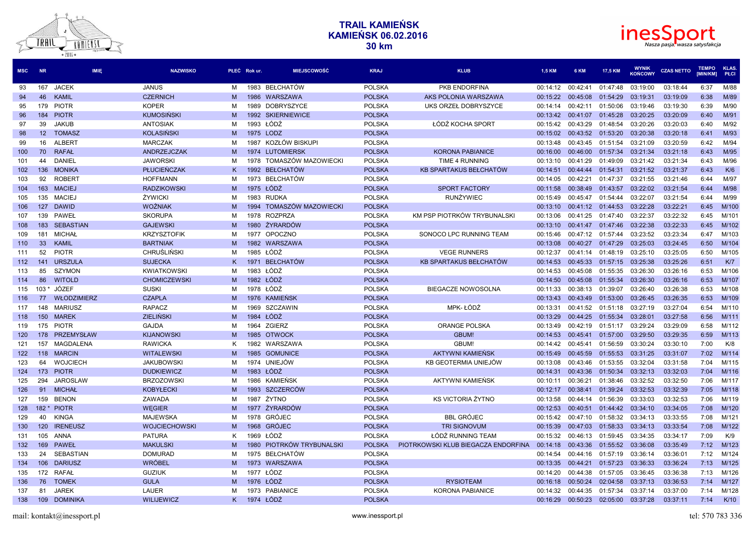



| <b>MSC</b> | <b>NR</b>       | <b>IMIE</b>        | <b>NAZWISKO</b>      |   | PŁEĆ Rok ur. | <b>MIEJSCOWOŚĆ</b>       | <b>KRAJ</b>   | <b>KLUB</b>                         | <b>1.5 KM</b> | 6 KM     | 17,5 KM  | <b>WYNIK</b><br><b>KOŃCOWY</b> | <b>CZAS NETTO</b> | <b>TEMPO</b><br>[MIN/KM] | <b>KLAS</b><br>PŁCI |
|------------|-----------------|--------------------|----------------------|---|--------------|--------------------------|---------------|-------------------------------------|---------------|----------|----------|--------------------------------|-------------------|--------------------------|---------------------|
| 93         | 167             | <b>JACEK</b>       | <b>JANUS</b>         | M | 1983         | BEŁCHATÓW                | <b>POLSKA</b> | PKB ENDORFINA                       | 00:14:12      | 00:42:41 | 01:47:48 | 03:19:00                       | 03:18:44          | 6:37                     | M/88                |
| 94         | 46              | <b>KAMIL</b>       | <b>CZERNICH</b>      | M |              | 1986 WARSZAWA            | <b>POLSKA</b> | AKS POLONIA WARSZAWA                | 00:15:22      | 00:45:08 | 01:54:29 | 03:19:31                       | 03:19:09          | 6:38                     | M/89                |
| 95         | 179             | <b>PIOTR</b>       | <b>KOPER</b>         | м |              | 1989 DOBRYSZYCE          | <b>POLSKA</b> | UKS ORZEŁ DOBRYSZYCE                | 00:14:14      | 00:42:11 | 01:50:06 | 03:19:46                       | 03:19:30          | 6:39                     | M/90                |
| 96         | 184             | <b>PIOTR</b>       | <b>KUMOSIŃSKI</b>    | M |              | 1992 SKIERNIEWICE        | <b>POLSKA</b> |                                     | 00:13:42      | 00:41:07 | 01:45:28 | 03:20:25                       | 03:20:09          | 6:40                     | M/91                |
| 97         | 39              | <b>JAKUB</b>       | <b>ANTOSIAK</b>      | м | 1993         | ŁÓDŹ                     | <b>POLSKA</b> | ŁÓDŹ KOCHA SPORT                    | 00:15:42      | 00:43:29 | 01:48:54 | 03:20:26                       | 03:20:03          | 6:40                     | M/92                |
| 98         | 12 <sup>2</sup> | <b>TOMASZ</b>      | <b>KOLASIŃSKI</b>    | M | 1975 LODZ    |                          | <b>POLSKA</b> |                                     | 00:15:02      | 00:43:52 | 01:53:20 | 03:20:38                       | 03:20:18          | 6:41                     | M/93                |
| 99         | 16              | ALBERT             | <b>MARCZAK</b>       | м | 1987         | KOZŁÓW BISKUPI           | <b>POLSKA</b> |                                     | 00:13:48      | 00:43:45 | 01:51:54 | 03:21:09                       | 03:20:59          | 6:42                     | M/94                |
| 100        | 70              | <b>RAFAŁ</b>       | ANDRZEJCZAK          | M | 1974         | <b>LUTOMIERSK</b>        | <b>POLSKA</b> | <b>KORONA PABIANICE</b>             | 00:16:00      | 00:46:00 | 01:57:34 | 03:21:34                       | 03:21:18          | 6:43                     | M/95                |
| 101        | 44              | DANIEL             | <b>JAWORSKI</b>      | M |              | 1978 TOMASZÓW MAZOWIECKI | <b>POLSKA</b> | TIME 4 RUNNING                      | 00:13:10      | 00:41:29 | 01:49:09 | 03:21:42                       | 03:21:34          | 6:43                     | M/96                |
| 102        | 136             | <b>MONIKA</b>      | <b>PŁUCIEŃCZAK</b>   |   | 1992         | <b>BEŁCHATÓW</b>         | <b>POLSKA</b> | KB SPARTAKUS BEŁCHATÓW              | 00:14:51      | 00:44:44 | 01:54:31 | 03:21:52                       | 03:21:37          | 6:43                     | K/6                 |
| 103        | 92              | <b>ROBERT</b>      | <b>HOFFMANN</b>      | м | 1973         | BEŁCHATÓW                | <b>POLSKA</b> |                                     | 00:14:05      | 00:42:21 | 01:47:37 | 03:21:55                       | 03:21:46          | 6:44                     | M/97                |
| 104        | 163             | <b>MACIEJ</b>      | <b>RADZIKOWSKI</b>   | M | 1975         | ŁÓDŹ                     | <b>POLSKA</b> | <b>SPORT FACTORY</b>                | 00:11:58      | 00:38:49 | 01:43:57 | 03:22:02                       | 03:21:54          | 6:44                     | M/98                |
| 105        |                 | 135 MACIEJ         | ŻYWICKI              | M |              | 1983 RUDKA               | <b>POLSKA</b> | <b>RUNŻYWIEC</b>                    | 00:15:49      | 00:45:47 | 01:54:44 | 03:22:07                       | 03:21:54          | 6:44                     | M/99                |
| 106        | 127             | <b>DAWID</b>       | <b>WOŹNIAK</b>       | M | 1994         | TOMASZÓW MAZOWIECKI      | <b>POLSKA</b> |                                     | 00:13:10      | 00:41:12 | 01:44:53 | 03:22:28                       | 03:22:21          | 6:45                     | M/100               |
| 107        | 139             | PAWEŁ              | <b>SKORUPA</b>       | M | 1978         | <b>ROZPRZA</b>           | <b>POLSKA</b> | KM PSP PIOTRKÓW TRYBUNALSKI         | 00:13:06      | 00:41:25 | 01:47:40 | 03:22:37                       | 03:22:32          | 6:45                     | M/101               |
| 108        | 183             | <b>SEBASTIAN</b>   | <b>GAJEWSKI</b>      | M | 1980         | ŻYRARDÓW                 | <b>POLSKA</b> |                                     | 00:13:10      | 00:41:47 | 01:47:46 | 03:22:38                       | 03:22:33          | 6:45                     | M/102               |
| 109        | 181             | MICHAŁ             | <b>KRZYSZTOFIK</b>   | м | 1977         | <b>OPOCZNO</b>           | <b>POLSKA</b> | SONOCO LPC RUNNING TEAM             | 00:15:46      | 00:47:12 | 01:57:44 | 03:23:52                       | 03:23:34          | 6:47                     | M/103               |
| 110        | 33              | <b>KAMIL</b>       | <b>BARTNIAK</b>      | M |              | 1982 WARSZAWA            | <b>POLSKA</b> |                                     | 00:13:08      | 00:40:27 | 01:47:29 | 03:25:03                       | 03:24:45          | 6:50                     | M/104               |
| 111        | 52              | <b>PIOTR</b>       | <b>CHRUŚLIŃSKI</b>   | M | 1985         | ŁÓDŹ                     | <b>POLSKA</b> | <b>VEGE RUNNERS</b>                 | 00:12:37      | 00:41:14 | 01:48:19 | 03:25:10                       | 03:25:05          | 6:50                     | M/105               |
| 112        | 141             | <b>URSZULA</b>     | <b>SUJECKA</b>       | K | 1971         | <b>BEŁCHATÓW</b>         | <b>POLSKA</b> | <b>KB SPARTAKUS BEŁCHATÓW</b>       | 00:14:53      | 00:45:33 | 01:57:15 | 03:25:38                       | 03:25:26          | 6:51                     | K/T                 |
| 113        | 85              | <b>SZYMON</b>      | <b>KWIATKOWSKI</b>   | M | 1983         | ŁÓDŹ                     | <b>POLSKA</b> |                                     | 00:14:53      | 00:45:08 | 01:55:35 | 03:26:30                       | 03:26:16          | 6:53                     | M/106               |
| 114        | 86              | <b>WITOLD</b>      | <b>CHOMICZEWSKI</b>  | M | 1982 ŁÓDŹ    |                          | <b>POLSKA</b> |                                     | 00:14:50      | 00:45:08 | 01:55:34 | 03:26:30                       | 03:26:16          | 6:53                     | M/107               |
| 115        | $103*$          | JÓZEF              | <b>SUSKI</b>         | M | 1978 ŁÓDŻ    |                          | <b>POLSKA</b> | <b>BIEGACZE NOWOSOLNA</b>           | 00:11:33      | 00:38:13 | 01:39:07 | 03:26:40                       | 03:26:38          | 6:53                     | M/108               |
| 116        | 77              | <b>WŁODZIMIERZ</b> | <b>CZAPLA</b>        | M |              | 1976 KAMIEŃSK            | <b>POLSKA</b> |                                     | 00:13:43      | 00:43:49 | 01:53:00 | 03:26:45                       | 03:26:35          | 6:53                     | M/109               |
| 117        | 148             | <b>MARIUSZ</b>     | <b>RAPACZ</b>        | M | 1969         | SZCZAWIN                 | <b>POLSKA</b> | MPK-ŁÓDŹ                            | 00:13:31      | 00:41:52 | 01:51:18 | 03:27:19                       | 03:27:04          | 6:54                     | M/110               |
| 118        | 150             | <b>MAREK</b>       | <b>ZIELIŃSKI</b>     | M | 1984         | ŁÓDŹ                     | <b>POLSKA</b> |                                     | 00:13:29      | 00:44:25 | 01:55:34 | 03:28:01                       | 03:27:58          | 6:56                     | M/111               |
| 119        |                 | 175 PIOTR          | <b>GAJDA</b>         | м |              | 1964 ZGIERZ              | <b>POLSKA</b> | <b>ORANGE POLSKA</b>                | 00:13:49      | 00:42:19 | 01:51:17 | 03:29:24                       | 03:29:09          | 6:58                     | M/112               |
| 120        | 178             | PRZEMYSŁAW         | <b>KIJANOWSKI</b>    | M | 1985         | <b>OTWOCK</b>            | <b>POLSKA</b> | <b>GBUM!</b>                        | 00:14:53      | 00:45:41 | 01:57:00 | 03:29:50                       | 03:29:35          | 6:59                     | M/113               |
| 121        | 157             | MAGDALENA          | <b>RAWICKA</b>       | K |              | 1982 WARSZAWA            | <b>POLSKA</b> | GBUM!                               | 00:14:42      | 00:45:41 | 01:56:59 | 03:30:24                       | 03:30:10          | 7:00                     | K/8                 |
| 122        | 118             | <b>MARCIN</b>      | <b>WITALEWSKI</b>    | M |              | 1985 GOMUNICE            | <b>POLSKA</b> | <b>AKTYWNI KAMIENSK</b>             | 00:15:49      | 00:45:59 | 01:55:53 | 03:31:25                       | 03:31:07          | 7:02                     | M/114               |
| 123        | 64              | <b>WOJCIECH</b>    | <b>JAKUBOWSKI</b>    | м |              | 1974 UNIEJÓW             | <b>POLSKA</b> | KB GEOTERMIA UNIEJÓW                | 00:13:08      | 00:43:46 | 01:53:55 | 03:32:04                       | 03:31:58          | 7:04                     | M/115               |
| 124        | 173             | <b>PIOTR</b>       | <b>DUDKIEWICZ</b>    | M | 1983         | ŁÓDŹ                     | <b>POLSKA</b> |                                     | 00:14:31      | 00:43:36 | 01:50:34 | 03:32:13                       | 03:32:03          | 7:04                     | M/116               |
| 125        | 294             | <b>JAROSLAW</b>    | <b>BRZOZOWSKI</b>    | м |              | 1986 KAMIEŃSK            | <b>POLSKA</b> | AKTYWNI KAMIEŃSK                    | 00:10:11      | 00:36:21 | 01:38:46 | 03:32:52                       | 03:32:50          | 7:06                     | M/117               |
| 126        | 91              | <b>MICHAŁ</b>      | <b>KOBYŁECKI</b>     | M | 1993         | SZCZERCÓW                | <b>POLSKA</b> |                                     | 00:12:17      | 00:38:41 | 01:39:24 | 03:32:53                       | 03:32:39          | 7:05                     | M/118               |
| 127        | 159             | <b>BENON</b>       | ZAWADA               | M | 1987         | ŻYTNO                    | <b>POLSKA</b> | KS VICTORIA ŻYTNO                   | 00:13:58      | 00:44:14 | 01:56:39 | 03:33:03                       | 03:32:53          | 7:06                     | M/119               |
| 128        |                 | 182 * PIOTR        | <b>WEGIER</b>        | M | 1977         | ŻYRARDÓW                 | <b>POLSKA</b> |                                     | 00:12:53      | 00:40:51 | 01:44:42 | 03:34:10                       | 03:34:05          | 7:08                     | M/120               |
| 129        | 40              | <b>KINGA</b>       | <b>MAJEWSKA</b>      | M | 1978         | <b>GRÓJEC</b>            | <b>POLSKA</b> | <b>BBL GRÓJEC</b>                   | 00:15:42      | 00:47:10 | 01:58:32 | 03:34:13                       | 03:33:55          | 7:08                     | M/121               |
| 130        | 120             | <b>IRENEUSZ</b>    | <b>WOJCIECHOWSKI</b> | M | 1968         | <b>GRÓJEC</b>            | <b>POLSKA</b> | <b>TRI SIGNOVUM</b>                 | 00:15:39      | 00:47:03 | 01:58:33 | 03:34:13                       | 03:33:54          | 7:08                     | M/122               |
| 131        | 105             | ANNA               | <b>PATURA</b>        | K | 1969         | ŁÓDŻ                     | <b>POLSKA</b> | ŁÓDŹ RUNNING TEAM                   | 00:15:32      | 00:46:13 | 01:59:45 | 03:34:35                       | 03:34:17          | 7:09                     | K/9                 |
| 132        | 169             | PAWEŁ              | <b>MAKULSKI</b>      | M | 1980         | PIOTRKÓW TRYBUNALSKI     | <b>POLSKA</b> | PIOTRKOWSKI KLUB BIEGACZA ENDORFINA | 00:14:18      | 00:43:36 | 01:55:52 | 03:36:08                       | 03:35:49          | 7:12                     | M/123               |
| 133        | 24              | <b>SEBASTIAN</b>   | <b>DOMURAD</b>       | м |              | 1975 BEŁCHATÓW           | <b>POLSKA</b> |                                     | 00:14:54      | 00:44:16 | 01:57:19 | 03:36:14                       | 03:36:01          | 7:12                     | M/124               |
| 134        | 106             | <b>DARIUSZ</b>     | <b>WRÓBEL</b>        | M |              | 1973 WARSZAWA            | <b>POLSKA</b> |                                     | 00:13:35      | 00:44:21 | 01:57:23 | 03:36:33                       | 03:36:24          | 7:13                     | M/125               |
| 135        |                 | 172 RAFAŁ          | <b>GUZIUK</b>        | м | 1977 ŁÓDZ    |                          | <b>POLSKA</b> |                                     | 00:14:20      | 00:44:38 | 01:57:05 | 03:36:45                       | 03:36:38          | 7:13                     | M/126               |
| 136        | 76              | <b>TOMEK</b>       | <b>GULA</b>          | M | 1976 ŁÓDŹ    |                          | <b>POLSKA</b> | <b>RYSIOTEAM</b>                    | 00:16:18      | 00:50:24 | 02:04:58 | 03:37:13                       | 03:36:53          | 7:14                     | M/127               |
| 137        | 81              | <b>JAREK</b>       | LAUER                | M | 1973         | PABIANICE                | <b>POLSKA</b> | <b>KORONA PABIANICE</b>             | 00:14:32      | 00:44:35 | 01:57:34 | 03:37:14                       | 03:37:00          | 7:14                     | M/128               |
| 138        | 109             | <b>DOMINIKA</b>    | <b>WILIJEWICZ</b>    | K | 1974 ŁÓDŹ    |                          | <b>POLSKA</b> |                                     | 00:16:29      | 00:50:23 | 02:05:00 | 03:37:28                       | 03:37:11          | 7:14                     | K/10                |
|            |                 |                    |                      |   |              |                          |               |                                     |               |          |          |                                |                   |                          |                     |